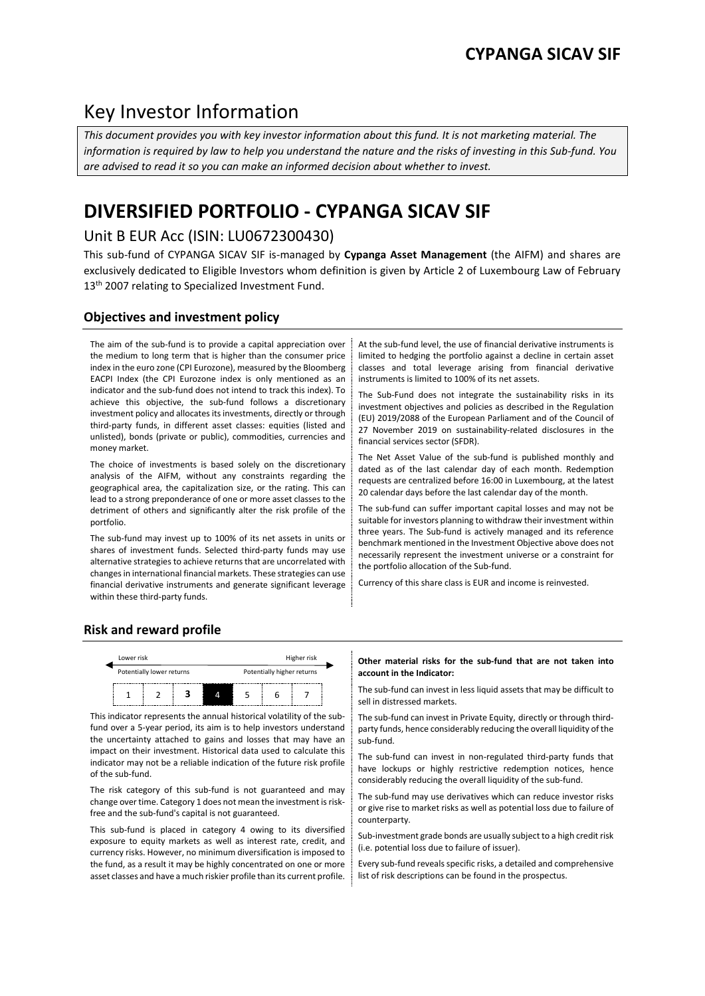## Key Investor Information

*This document provides you with key investor information about this fund. It is not marketing material. The information is required by law to help you understand the nature and the risks of investing in this Sub-fund. You are advised to read it so you can make an informed decision about whether to invest.*

# **DIVERSIFIED PORTFOLIO - CYPANGA SICAV SIF**

## Unit B EUR Acc (ISIN: LU0672300430)

This sub-fund of CYPANGA SICAV SIF is-managed by **Cypanga Asset Management** (the AIFM) and shares are exclusively dedicated to Eligible Investors whom definition is given by Article 2 of Luxembourg Law of February 13<sup>th</sup> 2007 relating to Specialized Investment Fund.

## **Objectives and investment policy**

The aim of the sub-fund is to provide a capital appreciation over the medium to long term that is higher than the consumer price index in the euro zone (CPI Eurozone), measured by the Bloomberg EACPI Index (the CPI Eurozone index is only mentioned as an indicator and the sub-fund does not intend to track this index). To achieve this objective, the sub-fund follows a discretionary investment policy and allocates its investments, directly or through third-party funds, in different asset classes: equities (listed and unlisted), bonds (private or public), commodities, currencies and money market.

The choice of investments is based solely on the discretionary analysis of the AIFM, without any constraints regarding the geographical area, the capitalization size, or the rating. This can lead to a strong preponderance of one or more asset classes to the detriment of others and significantly alter the risk profile of the portfolio.

The sub-fund may invest up to 100% of its net assets in units or shares of investment funds. Selected third-party funds may use alternative strategies to achieve returns that are uncorrelated with changes in international financial markets. These strategies can use financial derivative instruments and generate significant leverage within these third-party funds.

At the sub-fund level, the use of financial derivative instruments is limited to hedging the portfolio against a decline in certain asset classes and total leverage arising from financial derivative instruments is limited to 100% of its net assets.

The Sub-Fund does not integrate the sustainability risks in its investment objectives and policies as described in the Regulation (EU) 2019/2088 of the European Parliament and of the Council of 27 November 2019 on sustainability-related disclosures in the financial services sector (SFDR).

The Net Asset Value of the sub-fund is published monthly and dated as of the last calendar day of each month. Redemption requests are centralized before 16:00 in Luxembourg, at the latest 20 calendar days before the last calendar day of the month.

The sub-fund can suffer important capital losses and may not be suitable for investors planning to withdraw their investment within three years. The Sub-fund is actively managed and its reference benchmark mentioned in the Investment Objective above does not necessarily represent the investment universe or a constraint for the portfolio allocation of the Sub-fund.

Currency of this share class is EUR and income is reinvested.

## **Risk and reward profile**



This indicator represents the annual historical volatility of the subfund over a 5-year period, its aim is to help investors understand the uncertainty attached to gains and losses that may have an impact on their investment. Historical data used to calculate this indicator may not be a reliable indication of the future risk profile of the sub-fund.

The risk category of this sub-fund is not guaranteed and may change over time. Category 1 does not mean the investment is riskfree and the sub-fund's capital is not guaranteed.

This sub-fund is placed in category 4 owing to its diversified exposure to equity markets as well as interest rate, credit, and currency risks. However, no minimum diversification is imposed to the fund, as a result it may be highly concentrated on one or more asset classes and have a much riskier profile than its current profile.

#### **Other material risks for the sub-fund that are not taken into account in the Indicator:**

 $\frac{1}{1}$   $\frac{1}{2}$   $\frac{1}{3}$   $\frac{1}{4}$   $\frac{1}{5}$   $\frac{1}{6}$   $\frac{1}{7}$  The sub-fund can invest in less liquid assets that may be difficult to sell in distressed markets.

> The sub-fund can invest in Private Equity, directly or through thirdparty funds, hence considerably reducing the overall liquidity of the sub-fund.

> The sub-fund can invest in non-regulated third-party funds that have lockups or highly restrictive redemption notices, hence considerably reducing the overall liquidity of the sub-fund.

> The sub-fund may use derivatives which can reduce investor risks or give rise to market risks as well as potential loss due to failure of counterparty.

> Sub-investment grade bonds are usually subject to a high credit risk (i.e. potential loss due to failure of issuer).

> Every sub-fund reveals specific risks, a detailed and comprehensive list of risk descriptions can be found in the prospectus.